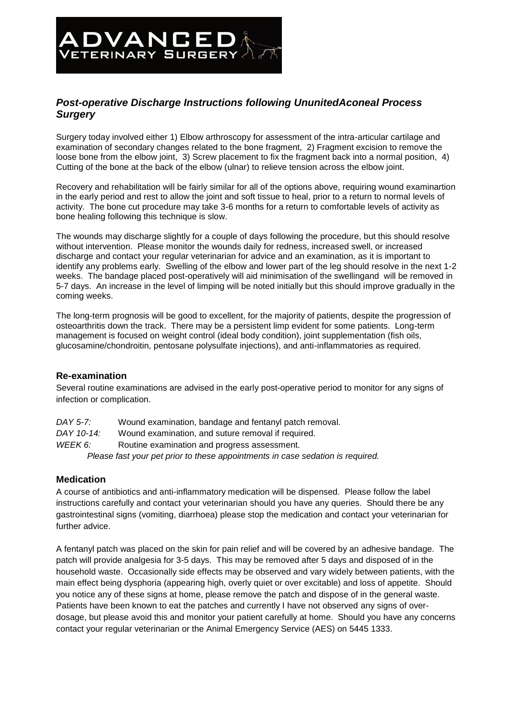# **ADVANCED**

# *Post-operative Discharge Instructions following UnunitedAconeal Process Surgery*

Surgery today involved either 1) Elbow arthroscopy for assessment of the intra-articular cartilage and examination of secondary changes related to the bone fragment, 2) Fragment excision to remove the loose bone from the elbow joint. 3) Screw placement to fix the fragment back into a normal position. 4) Cutting of the bone at the back of the elbow (ulnar) to relieve tension across the elbow joint.

Recovery and rehabilitation will be fairly similar for all of the options above, requiring wound examinartion in the early period and rest to allow the joint and soft tissue to heal, prior to a return to normal levels of activity. The bone cut procedure may take 3-6 months for a return to comfortable levels of activity as bone healing following this technique is slow.

The wounds may discharge slightly for a couple of days following the procedure, but this should resolve without intervention. Please monitor the wounds daily for redness, increased swell, or increased discharge and contact your regular veterinarian for advice and an examination, as it is important to identify any problems early. Swelling of the elbow and lower part of the leg should resolve in the next 1-2 weeks. The bandage placed post-operatively will aid minimisation of the swellingand will be removed in 5-7 days. An increase in the level of limping will be noted initially but this should improve gradually in the coming weeks.

The long-term prognosis will be good to excellent, for the majority of patients, despite the progression of osteoarthritis down the track. There may be a persistent limp evident for some patients. Long-term management is focused on weight control (ideal body condition), joint supplementation (fish oils, glucosamine/chondroitin, pentosane polysulfate injections), and anti-inflammatories as required.

# **Re-examination**

Several routine examinations are advised in the early post-operative period to monitor for any signs of infection or complication.

| DAY 5-7:                                                                       | Wound examination, bandage and fentanyl patch removal. |
|--------------------------------------------------------------------------------|--------------------------------------------------------|
| DAY 10-14:                                                                     | Wound examination, and suture removal if required.     |
| WEEK 6:                                                                        | Routine examination and progress assessment.           |
| Please fast your pet prior to these appointments in case sedation is required. |                                                        |

# **Medication**

A course of antibiotics and anti-inflammatory medication will be dispensed. Please follow the label instructions carefully and contact your veterinarian should you have any queries. Should there be any gastrointestinal signs (vomiting, diarrhoea) please stop the medication and contact your veterinarian for further advice.

A fentanyl patch was placed on the skin for pain relief and will be covered by an adhesive bandage. The patch will provide analgesia for 3-5 days. This may be removed after 5 days and disposed of in the household waste. Occasionally side effects may be observed and vary widely between patients, with the main effect being dysphoria (appearing high, overly quiet or over excitable) and loss of appetite. Should you notice any of these signs at home, please remove the patch and dispose of in the general waste. Patients have been known to eat the patches and currently I have not observed any signs of overdosage, but please avoid this and monitor your patient carefully at home. Should you have any concerns contact your regular veterinarian or the Animal Emergency Service (AES) on 5445 1333.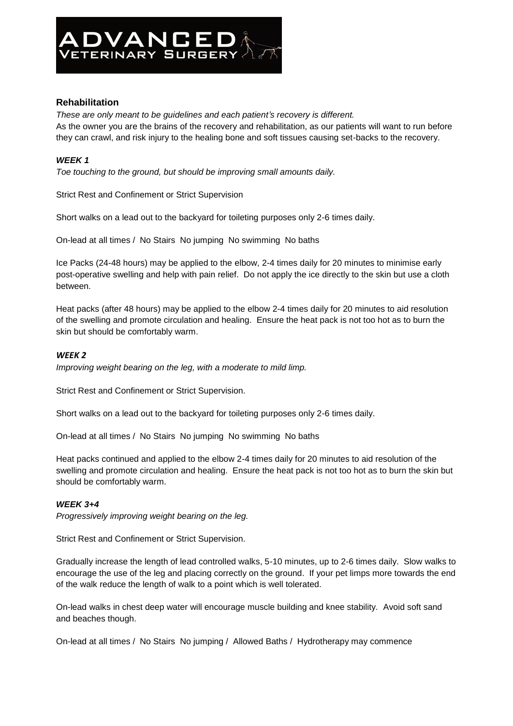

# **Rehabilitation**

*These are only meant to be guidelines and each patient's recovery is different.* As the owner you are the brains of the recovery and rehabilitation, as our patients will want to run before they can crawl, and risk injury to the healing bone and soft tissues causing set-backs to the recovery.

## *WEEK 1*

*Toe touching to the ground, but should be improving small amounts daily.*

Strict Rest and Confinement or Strict Supervision

Short walks on a lead out to the backyard for toileting purposes only 2-6 times daily.

On-lead at all times / No Stairs No jumping No swimming No baths

Ice Packs (24-48 hours) may be applied to the elbow, 2-4 times daily for 20 minutes to minimise early post-operative swelling and help with pain relief. Do not apply the ice directly to the skin but use a cloth between.

Heat packs (after 48 hours) may be applied to the elbow 2-4 times daily for 20 minutes to aid resolution of the swelling and promote circulation and healing. Ensure the heat pack is not too hot as to burn the skin but should be comfortably warm.

#### *WEEK 2*

*Improving weight bearing on the leg, with a moderate to mild limp.*

Strict Rest and Confinement or Strict Supervision.

Short walks on a lead out to the backyard for toileting purposes only 2-6 times daily.

On-lead at all times / No Stairs No jumping No swimming No baths

Heat packs continued and applied to the elbow 2-4 times daily for 20 minutes to aid resolution of the swelling and promote circulation and healing. Ensure the heat pack is not too hot as to burn the skin but should be comfortably warm.

## *WEEK 3+4*

*Progressively improving weight bearing on the leg.*

Strict Rest and Confinement or Strict Supervision.

Gradually increase the length of lead controlled walks, 5-10 minutes, up to 2-6 times daily. Slow walks to encourage the use of the leg and placing correctly on the ground. If your pet limps more towards the end of the walk reduce the length of walk to a point which is well tolerated.

On-lead walks in chest deep water will encourage muscle building and knee stability. Avoid soft sand and beaches though.

On-lead at all times / No Stairs No jumping / Allowed Baths / Hydrotherapy may commence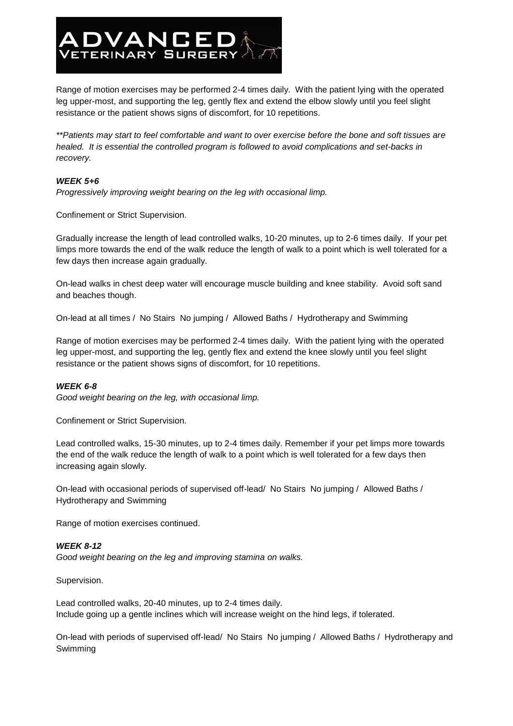Range of motion exercises may be performed 2-4 times daily. With the patient lying with the operated leg upper-most, and supporting the leg, gently flex and extend the elbow slowly until you feel slight resistance or the patient shows signs of discomfort, for 10 repetitions.

*\*\*Patients may start to feel comfortable and want to over exercise before the bone and soft tissues are healed. It is essential the controlled program is followed to avoid complications and set-backs in recovery.*

#### *WEEK 5+6*

*Progressively improving weight bearing on the leg with occasional limp.*

Confinement or Strict Supervision.

ADVANCED

Gradually increase the length of lead controlled walks, 10-20 minutes, up to 2-6 times daily. If your pet limps more towards the end of the walk reduce the length of walk to a point which is well tolerated for a few days then increase again gradually.

On-lead walks in chest deep water will encourage muscle building and knee stability. Avoid soft sand and beaches though.

On-lead at all times / No Stairs No jumping / Allowed Baths / Hydrotherapy and Swimming

Range of motion exercises may be performed 2-4 times daily. With the patient lying with the operated leg upper-most, and supporting the leg, gently flex and extend the knee slowly until you feel slight resistance or the patient shows signs of discomfort, for 10 repetitions.

#### *WEEK 6-8*

*Good weight bearing on the leg, with occasional limp.*

Confinement or Strict Supervision.

Lead controlled walks, 15-30 minutes, up to 2-4 times daily. Remember if your pet limps more towards the end of the walk reduce the length of walk to a point which is well tolerated for a few days then increasing again slowly.

On-lead with occasional periods of supervised off-lead/ No Stairs No jumping / Allowed Baths / Hydrotherapy and Swimming

Range of motion exercises continued.

## *WEEK 8-12*

*Good weight bearing on the leg and improving stamina on walks.*

Supervision.

Lead controlled walks, 20-40 minutes, up to 2-4 times daily. Include going up a gentle inclines which will increase weight on the hind legs, if tolerated.

On-lead with periods of supervised off-lead/ No Stairs No jumping / Allowed Baths / Hydrotherapy and Swimming